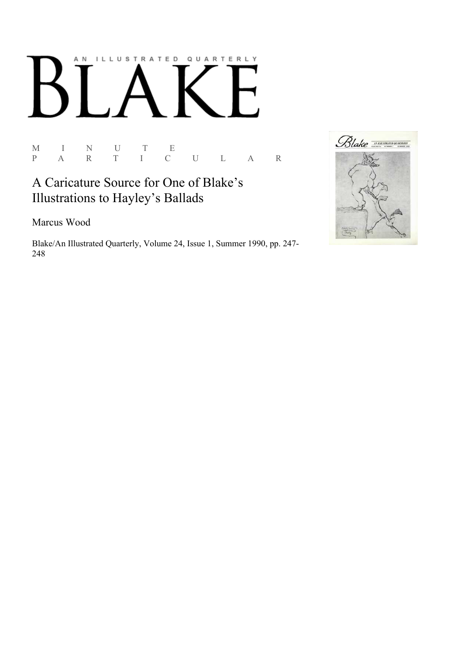## AN ILLUSTRATED QUARTERLY

 $\begin{array}{ccccccccc} \textrm{M} & & I & & \textrm{N} & & \textrm{U} & & \textrm{T} & & \textrm{E} \\ \textrm{P} & & \textrm{A} & & \textrm{R} & & \textrm{T} & & \textrm{I} & & \textrm{C} \end{array}$ P A R T I C U L A R

## A Caricature Source for One of Blake's Illustrations to Hayley's Ballads

Marcus Wood

Blake/An Illustrated Quarterly, Volume 24, Issue 1, Summer 1990, pp. 247-248

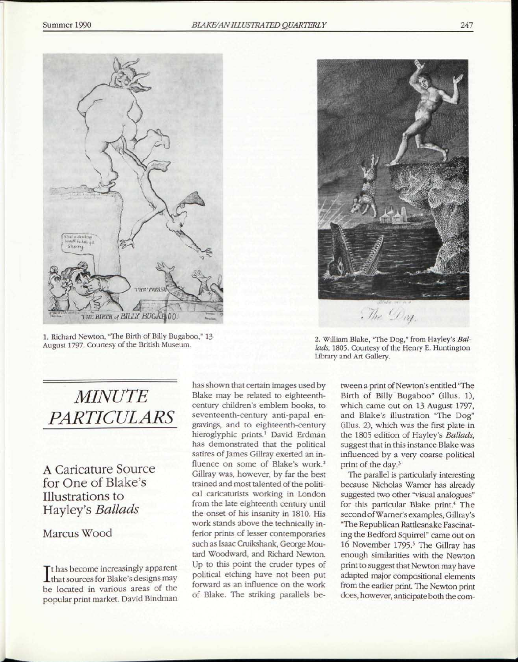

1. Richard Newton, "The Birth of Billy Bugaboo," 13 August 1797. Courtesy of the British Museum.



2. William Blake, "The Dog," from Hayley's *Ballads,* 1805. Courtesy of the Henry E. Huntington Library and Art Gallery.

## *MINUTE PARTICULARS*

A Caricature Source for One of Blake's Illustrations to Hayley's *Ballads* 

## Marcus Wood

 $\prod$ t has become increasingly apparent<br>that sources for Blake's designs may that sources for Blake's designs may be located in various areas of the popular print market. David Bindman

has shown that certain images used by Blake may be related to eighteenthcentury children's emblem books, to seventeenth-century anti-papal engravings, and to eighteenth-century hieroglyphic prints.<sup>1</sup> David Erdman has demonstrated that the political satires of James Gillray exerted an influence on some of Blake's work.<sup>2</sup> Gillray was, however, by far the best trained and most talented of the political caricaturists working in London from the late eighteenth century until the onset of his insanity in 1810. His work stands above the technically inferior prints of lesser contemporaries such as Isaac Cruikshank, George Moutard Woodward, and Richard Newton. Up to this point the cruder types of political etching have not been put forward as an influence on the work of Blake. The striking parallels be-

tween a print of Newton's entitled "The Birth of Billy Bugaboo" (illus. 1), which came out on 13 August 1797, and Blake's illustration "The Dog" (illus. 2), which was the first plate in the 1805 edition of Hayley's *Ballads,*  suggest that in this instance Blake was influenced by a very coarse political print of the day.<sup>3</sup>

The parallel is particularly interesting because Nicholas Warner has already suggested two other "visual analogues" for this particular Blake print.<sup>4</sup> The second of Warner's examples, Gillray's "The Republican Rattlesnake Fascinating the Bedford Squirrel" came out on 16 November 1795.<sup>5</sup> The Gillray has enough similarities with the Newton print to suggest that Newton may have adapted major compositional elements from the earlier print. The Newton print does, however, anticipate both the com-